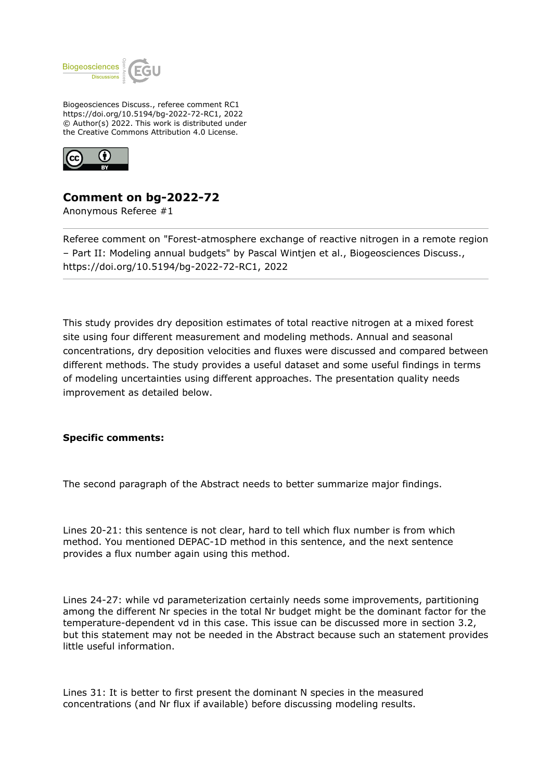

Biogeosciences Discuss., referee comment RC1 https://doi.org/10.5194/bg-2022-72-RC1, 2022 © Author(s) 2022. This work is distributed under the Creative Commons Attribution 4.0 License.



## **Comment on bg-2022-72**

Anonymous Referee #1

Referee comment on "Forest-atmosphere exchange of reactive nitrogen in a remote region – Part II: Modeling annual budgets" by Pascal Wintjen et al., Biogeosciences Discuss., https://doi.org/10.5194/bg-2022-72-RC1, 2022

This study provides dry deposition estimates of total reactive nitrogen at a mixed forest site using four different measurement and modeling methods. Annual and seasonal concentrations, dry deposition velocities and fluxes were discussed and compared between different methods. The study provides a useful dataset and some useful findings in terms of modeling uncertainties using different approaches. The presentation quality needs improvement as detailed below.

## **Specific comments:**

The second paragraph of the Abstract needs to better summarize major findings.

Lines 20-21: this sentence is not clear, hard to tell which flux number is from which method. You mentioned DEPAC-1D method in this sentence, and the next sentence provides a flux number again using this method.

Lines 24-27: while vd parameterization certainly needs some improvements, partitioning among the different Nr species in the total Nr budget might be the dominant factor for the temperature-dependent vd in this case. This issue can be discussed more in section 3.2, but this statement may not be needed in the Abstract because such an statement provides little useful information.

Lines 31: It is better to first present the dominant N species in the measured concentrations (and Nr flux if available) before discussing modeling results.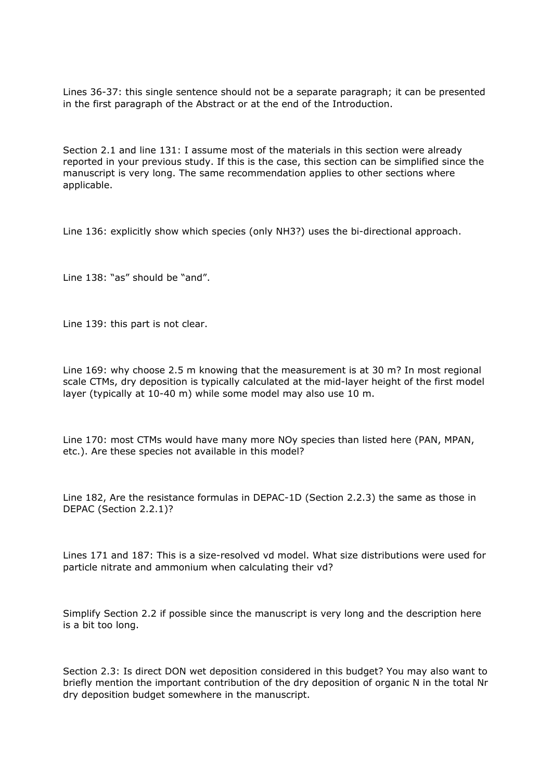Lines 36-37: this single sentence should not be a separate paragraph; it can be presented in the first paragraph of the Abstract or at the end of the Introduction.

Section 2.1 and line 131: I assume most of the materials in this section were already reported in your previous study. If this is the case, this section can be simplified since the manuscript is very long. The same recommendation applies to other sections where applicable.

Line 136: explicitly show which species (only NH3?) uses the bi-directional approach.

Line 138: "as" should be "and".

Line 139: this part is not clear.

Line 169: why choose 2.5 m knowing that the measurement is at 30 m? In most regional scale CTMs, dry deposition is typically calculated at the mid-layer height of the first model layer (typically at 10-40 m) while some model may also use 10 m.

Line 170: most CTMs would have many more NOy species than listed here (PAN, MPAN, etc.). Are these species not available in this model?

Line 182, Are the resistance formulas in DEPAC-1D (Section 2.2.3) the same as those in DEPAC (Section 2.2.1)?

Lines 171 and 187: This is a size-resolved vd model. What size distributions were used for particle nitrate and ammonium when calculating their vd?

Simplify Section 2.2 if possible since the manuscript is very long and the description here is a bit too long.

Section 2.3: Is direct DON wet deposition considered in this budget? You may also want to briefly mention the important contribution of the dry deposition of organic N in the total Nr dry deposition budget somewhere in the manuscript.